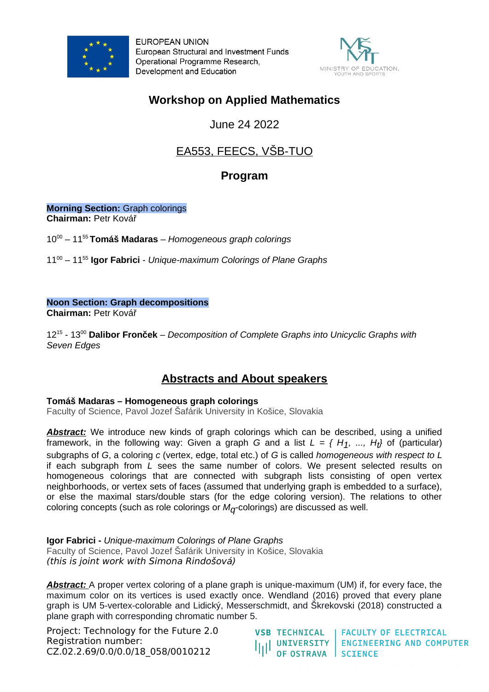

**EUROPEAN UNION** European Structural and Investment Funds Operational Programme Research. Development and Education



## **Workshop on Applied Mathematics**

June 24 2022

# EA553, FEECS, VŠB-TUO

### **Program**

**Morning Section:** Graph colorings **Chairman:** Petr Kovář

10<sup>00</sup> – 11<sup>55</sup>**Tomáš Madaras** – *Homogeneous graph colorings*

11<sup>00</sup> – 11<sup>55</sup> **Igor Fabrici** - *Unique-maximum Colorings of Plane Graphs* 

#### **Noon Section: Graph decompositions**

**Chairman:** Petr Kovář

12<sup>15</sup> - 13<sup>00</sup> **Dalibor Fronček** – *Decomposition of Complete Graphs into Unicyclic Graphs with Seven Edges*

### **Abstracts and About speakers**

#### **Tomáš Madaras – Homogeneous graph colorings**

Faculty of Science, Pavol Jozef Šafárik University in Košice, Slovakia

**Abstract:** We introduce new kinds of graph colorings which can be described, using a unified framework, in the following way: Given a graph *G* and a list *L = { H1, ..., Ht }* of (particular) subgraphs of *G*, a coloring *c* (vertex, edge, total etc.) of *G* is called *homogeneous with respect to L* if each subgraph from *L* sees the same number of colors. We present selected results on homogeneous colorings that are connected with subgraph lists consisting of open vertex neighborhoods, or vertex sets of faces (assumed that underlying graph is embedded to a surface), or else the maximal stars/double stars (for the edge coloring version). The relations to other coloring concepts (such as role colorings or  $M<sub>0</sub>$ -colorings) are discussed as well.

**Igor Fabrici -** *Unique-maximum Colorings of Plane Graphs* Faculty of Science, Pavol Jozef Šafárik University in Košice, Slovakia (this is joint work with Simona Rindošová)

*Abstract:* A proper vertex coloring of a plane graph is unique-maximum (UM) if, for every face, the maximum color on its vertices is used exactly once. Wendland (2016) proved that every plane graph is UM 5-vertex-colorable and Lidický, Messerschmidt, and Škrekovski (2018) constructed a plane graph with corresponding chromatic number 5.

Project: Technology for the Future 2.0 Registration number: CZ.02.2.69/0.0/0.0/18\_058/0010212

**FACULTY OF ELECTRICAL VSB TECHNICAL** UNIVERSITY | ENGINEERING AND COMPUTER<br>OF OSTRAVA | SCIENCE